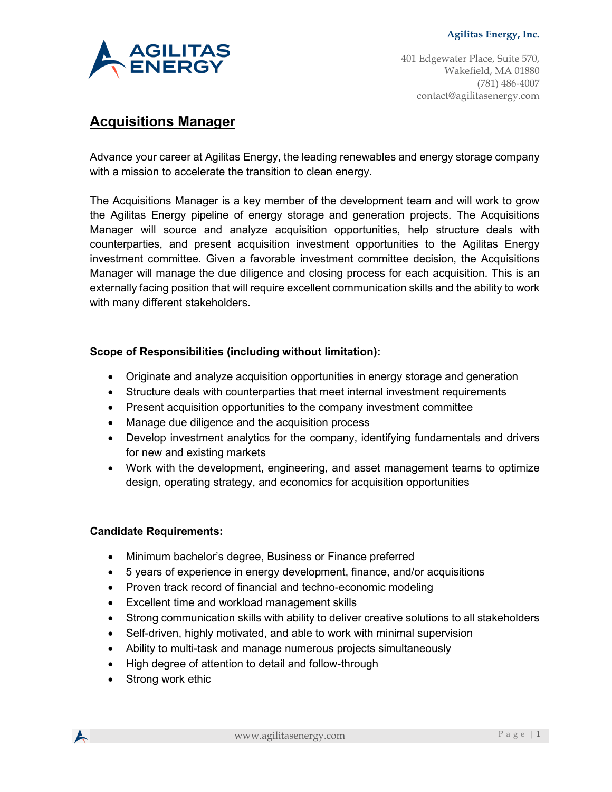

401 Edgewater Place, Suite 570, Wakefield, MA 01880 (781) 486-4007 contact@agilitasenergy.com

# **Acquisitions Manager**

Advance your career at Agilitas Energy, the leading renewables and energy storage company with a mission to accelerate the transition to clean energy.

The Acquisitions Manager is a key member of the development team and will work to grow the Agilitas Energy pipeline of energy storage and generation projects. The Acquisitions Manager will source and analyze acquisition opportunities, help structure deals with counterparties, and present acquisition investment opportunities to the Agilitas Energy investment committee. Given a favorable investment committee decision, the Acquisitions Manager will manage the due diligence and closing process for each acquisition. This is an externally facing position that will require excellent communication skills and the ability to work with many different stakeholders.

# **Scope of Responsibilities (including without limitation):**

- Originate and analyze acquisition opportunities in energy storage and generation
- Structure deals with counterparties that meet internal investment requirements
- Present acquisition opportunities to the company investment committee
- Manage due diligence and the acquisition process
- Develop investment analytics for the company, identifying fundamentals and drivers for new and existing markets
- Work with the development, engineering, and asset management teams to optimize design, operating strategy, and economics for acquisition opportunities

### **Candidate Requirements:**

- Minimum bachelor's degree, Business or Finance preferred
- 5 years of experience in energy development, finance, and/or acquisitions
- Proven track record of financial and techno-economic modeling
- Excellent time and workload management skills
- Strong communication skills with ability to deliver creative solutions to all stakeholders
- Self-driven, highly motivated, and able to work with minimal supervision
- Ability to multi-task and manage numerous projects simultaneously
- High degree of attention to detail and follow-through
- Strong work ethic